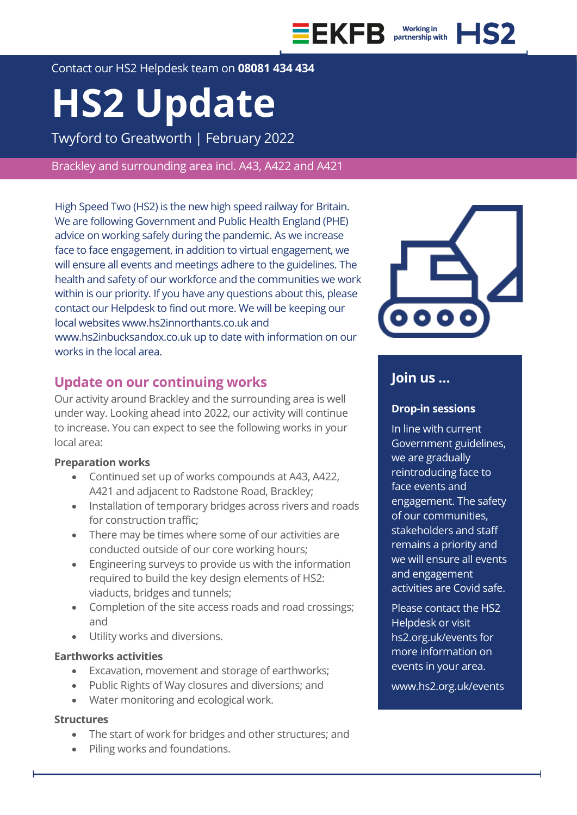



Contact our HS2 Helpdesk team on **08081 434 434**

# **HS2 Update**

Twyford to Greatworth | February 2022

Brackley and surrounding area incl. A43, A422 and A421

High Speed Two (HS2) is the new high speed railway for Britain. We are following Government and Public Health England (PHE) advice on working safely during the pandemic. As we increase face to face engagement, in addition to virtual engagement, we will ensure all events and meetings adhere to the guidelines. The health and safety of our workforce and the communities we work within is our priority. If you have any questions about this, please contact our Helpdesk to find out more. We will be keeping our local websites www.hs2innorthants.co.uk and www.hs2inbucksandox.co.uk up to date with information on our works in the local area.

# **Update on our continuing works**

Our activity around Brackley and the surrounding area is well under way. Looking ahead into 2022, our activity will continue to increase. You can expect to see the following works in your local area:

### **Preparation works**

- Continued set up of works compounds at A43, A422, A421 and adjacent to Radstone Road, Brackley;
- Installation of temporary bridges across rivers and roads for construction traffic;
- There may be times where some of our activities are conducted outside of our core working hours;
- Engineering surveys to provide us with the information required to build the key design elements of HS2: viaducts, bridges and tunnels;
- Completion of the site access roads and road crossings; and
- Utility works and diversions.

# **Earthworks activities**

- Excavation, movement and storage of earthworks;
- Public Rights of Way closures and diversions; and
- Water monitoring and ecological work.

### **Structures**

- The start of work for bridges and other structures; and
- Piling works and foundations.



# **Join us …**

### **Drop-in sessions**

In line with current Government guidelines, we are gradually reintroducing face to face events and engagement. The safety of our communities, stakeholders and staff remains a priority and we will ensure all events and engagement activities are Covid safe.

Please contact the HS2 Helpdesk or visit hs2.org.uk/events for more information on events in your area.

www.hs2.org.uk/events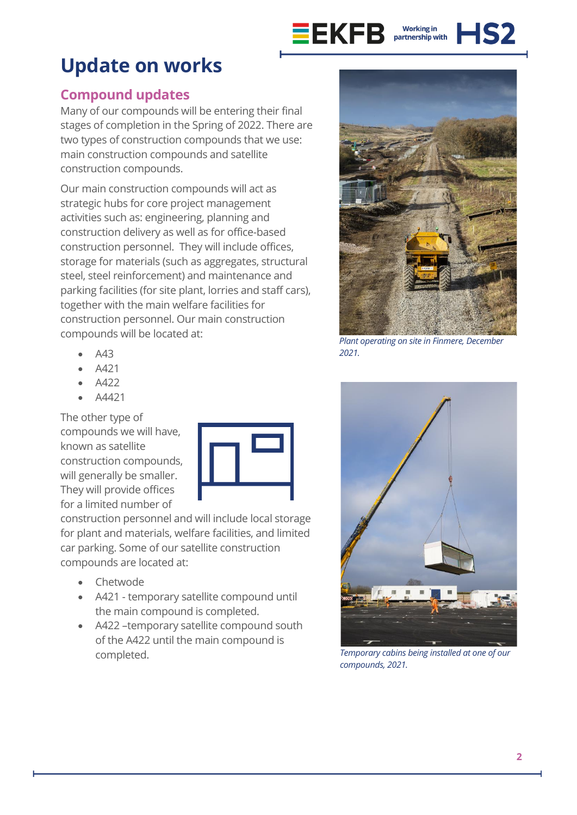

# **Update on works**

# **Compound updates**

Many of our compounds will be entering their final stages of completion in the Spring of 2022. There are two types of construction compounds that we use: main construction compounds and satellite construction compounds.

Our main construction compounds will act as strategic hubs for core project management activities such as: engineering, planning and construction delivery as well as for office-based construction personnel. They will include offices, storage for materials (such as aggregates, structural steel, steel reinforcement) and maintenance and parking facilities (for site plant, lorries and staff cars), together with the main welfare facilities for construction personnel. Our main construction compounds will be located at:

- A43
- A421
- A422
- A4421

The other type of compounds we will have, known as satellite construction compounds, will generally be smaller. They will provide offices for a limited number of



construction personnel and will include local storage for plant and materials, welfare facilities, and limited car parking. Some of our satellite construction compounds are located at:

- Chetwode
- A421 temporary satellite compound until the main compound is completed.
- A422 –temporary satellite compound south of the A422 until the main compound is completed.



*Plant operating on site in Finmere, December 2021.*



*Temporary cabins being installed at one of our compounds, 2021.*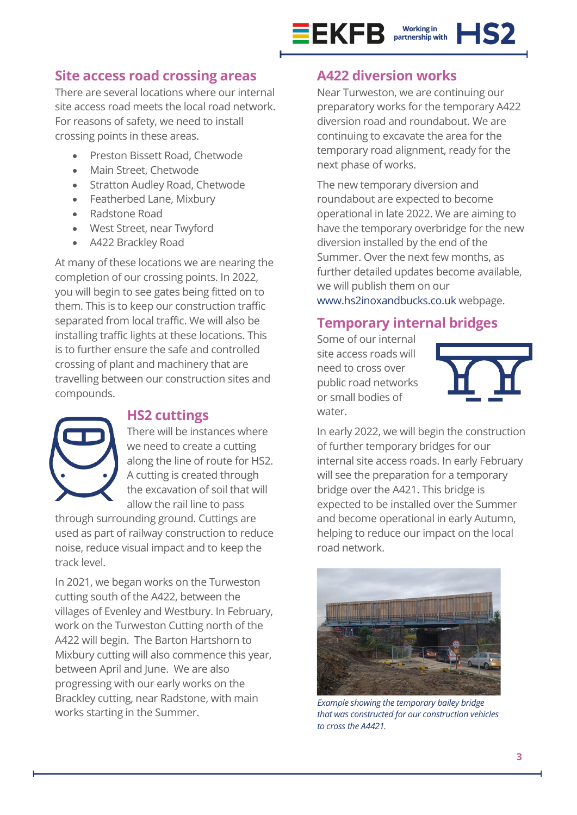

# **Site access road crossing areas**

There are several locations where our internal site access road meets the local road network. For reasons of safety, we need to install crossing points in these areas.

- Preston Bissett Road, Chetwode
- Main Street, Chetwode
- Stratton Audley Road, Chetwode
- Featherbed Lane, Mixbury
- Radstone Road
- West Street, near Twyford
- A422 Brackley Road

At many of these locations we are nearing the completion of our crossing points. In 2022, you will begin to see gates being fitted on to them. This is to keep our construction traffic separated from local traffic. We will also be installing traffic lights at these locations. This is to further ensure the safe and controlled crossing of plant and machinery that are travelling between our construction sites and compounds.



# **HS2 cuttings**

There will be instances where we need to create a cutting along the line of route for HS2. A cutting is created through the excavation of soil that will allow the rail line to pass

through surrounding ground. Cuttings are used as part of railway construction to reduce noise, reduce visual impact and to keep the track level.

In 2021, we began works on the Turweston cutting south of the A422, between the villages of Evenley and Westbury. In February, work on the Turweston Cutting north of the A422 will begin. The Barton Hartshorn to Mixbury cutting will also commence this year, between April and June. We are also progressing with our early works on the Brackley cutting, near Radstone, with main works starting in the Summer.

# **A422 diversion works**

Near Turweston, we are continuing our preparatory works for the temporary A422 diversion road and roundabout. We are continuing to excavate the area for the temporary road alignment, ready for the next phase of works.

The new temporary diversion and roundabout are expected to become operational in late 2022. We are aiming to have the temporary overbridge for the new diversion installed by the end of the Summer. Over the next few months, as further detailed updates become available, we will publish them on our

[www.hs2inoxandbucks.co.uk](http://www.hs2inoxandbucks.co.uk/) webpage.

# **Temporary internal bridges**

Some of our internal site access roads will need to cross over public road networks or small bodies of water.



In early 2022, we will begin the construction of further temporary bridges for our internal site access roads. In early February will see the preparation for a temporary bridge over the A421. This bridge is expected to be installed over the Summer and become operational in early Autumn, helping to reduce our impact on the local road network.



*Example showing the temporary bailey bridge that was constructed for our construction vehicles to cross the A4421.*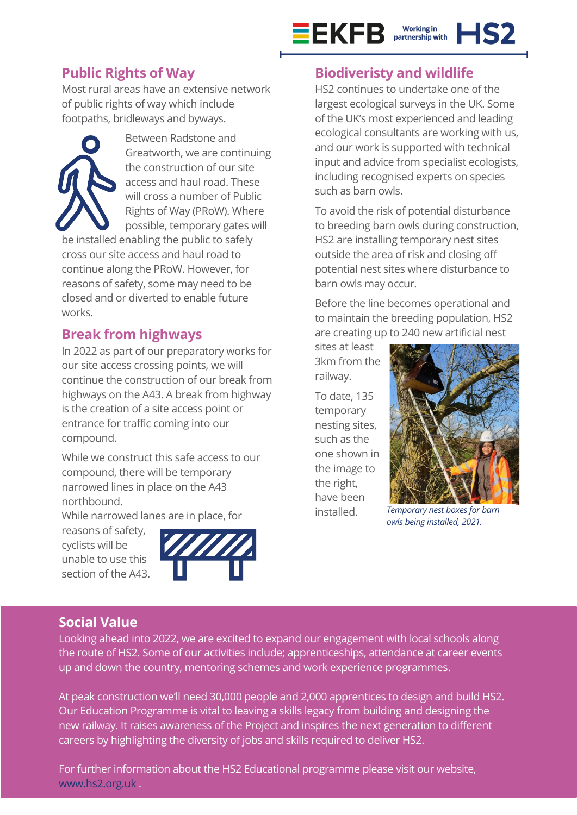

# **Public Rights of Way**

Most rural areas have an extensive network of public rights of way which include footpaths, bridleways and byways.



Between Radstone and Greatworth, we are continuing the construction of our site access and haul road. These will cross a number of Public Rights of Way (PRoW). Where possible, temporary gates will

be installed enabling the public to safely cross our site access and haul road to continue along the PRoW. However, for reasons of safety, some may need to be closed and or diverted to enable future works.

# **Break from highways**

In 2022 as part of our preparatory works for our site access crossing points, we will continue the construction of our break from highways on the A43. A break from highway is the creation of a site access point or entrance for traffic coming into our compound.

While we construct this safe access to our compound, there will be temporary narrowed lines in place on the A43 northbound.

While narrowed lanes are in place, for

reasons of safety, cyclists will be unable to use this section of the A43.



# **Biodiveristy and wildlife**

HS2 continues to undertake one of the largest ecological surveys in the UK. Some of the UK's most experienced and leading ecological consultants are working with us, and our work is supported with technical input and advice from specialist ecologists, including recognised experts on species such as barn owls.

To avoid the risk of potential disturbance to breeding barn owls during construction, HS2 are installing temporary nest sites outside the area of risk and closing off potential nest sites where disturbance to barn owls may occur.

Before the line becomes operational and to maintain the breeding population, HS2 are creating up to 240 new artificial nest

sites at least 3km from the railway.

To date, 135 temporary nesting sites, such as the one shown in the image to the right, have been installed.



*Temporary nest boxes for barn owls being installed, 2021.*

# **Social Value**

Looking ahead into 2022, we are excited to expand our engagement with local schools along the route of HS2. Some of our activities include; apprenticeships, attendance at career events up and down the country, mentoring schemes and work experience programmes.

At peak construction we'll need 30,000 people and 2,000 apprentices to design and build HS2. Our Education Programme is vital to leaving a skills legacy from building and designing the new railway. It raises awareness of the Project and inspires the next generation to different careers by highlighting the diversity of jobs and skills required to deliver HS2.

For further information about the HS2 Educational programme please visit our website, [www.hs2.org.uk](http://www.hs2.org.uk/) .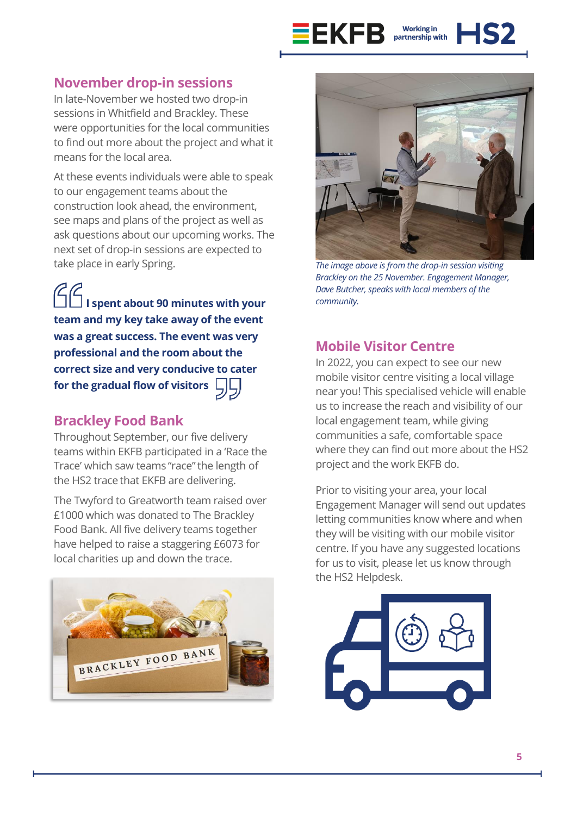

**November drop-in sessions**

In late-November we hosted two drop-in sessions in Whitfield and Brackley. These were opportunities for the local communities to find out more about the project and what it means for the local area.

At these events individuals were able to speak to our engagement teams about the construction look ahead, the environment, see maps and plans of the project as well as ask questions about our upcoming works. The next set of drop-in sessions are expected to take place in early Spring.

**I spent about 90 minutes with your team and my key take away of the event was a great success. The event was very professional and the room about the correct size and very conducive to cater for the gradual flow of visitors**

# **Brackley Food Bank**

Throughout September, our five delivery teams within EKFB participated in a 'Race the Trace' which saw teams "race"the length of the HS2 trace that EKFB are delivering.

The Twyford to Greatworth team raised over £1000 which was donated to The Brackley Food Bank. All five delivery teams together have helped to raise a staggering £6073 for local charities up and down the trace.





*The image above is from the drop-in session visiting Brackley on the 25 November. Engagement Manager, Dave Butcher, speaks with local members of the community.*

# **Mobile Visitor Centre**

In 2022, you can expect to see our new mobile visitor centre visiting a local village near you! This specialised vehicle will enable us to increase the reach and visibility of our local engagement team, while giving communities a safe, comfortable space where they can find out more about the HS2 project and the work EKFB do.

Prior to visiting your area, your local Engagement Manager will send out updates letting communities know where and when they will be visiting with our mobile visitor centre. If you have any suggested locations for us to visit, please let us know through the HS2 Helpdesk.

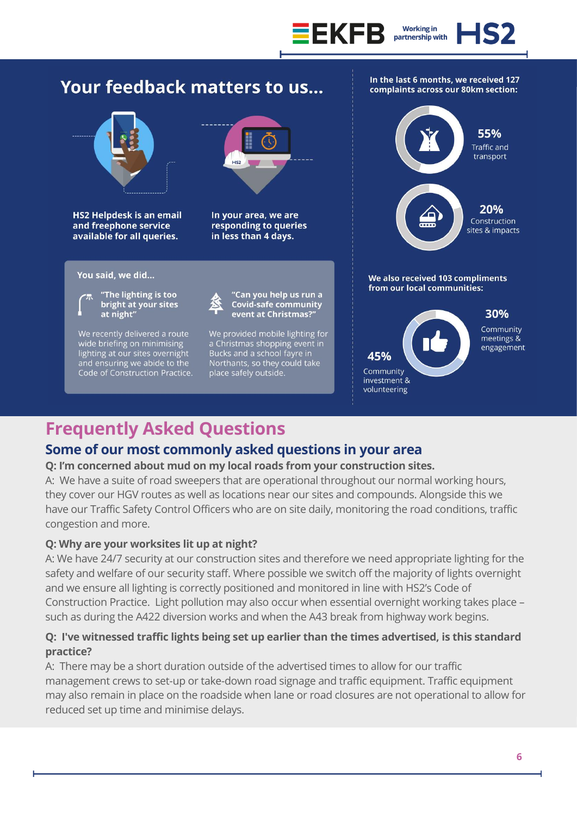

# Your feedback matters to us...



**HS2 Helpdesk is an email** and freephone service available for all queries.

# $H<sub>2</sub>$

In your area, we are responding to queries in less than 4 days.

### You said, we did...



We recently delivered a route wide briefing on minimising lighting at our sites overnight<br>and ensuring we abide to the Code of Construction Practice.





"Can you help us run a<br>Covid-safe community<br>event at Christmas?"

We provided mobile lighting for a Christmas shopping event in a Christmas shopping event in<br>Bucks and a school fayre in<br>Northants, so they could take<br>place safely outside.



In the last 6 months, we received 127

complaints across our 80km section:



Community meetings & engagement

# **Frequently Asked Questions**

# **Some of our most commonly asked questions in your area**

### **Q: I'm concerned about mud on my local roads from your construction sites.**

A: We have a suite of road sweepers that are operational throughout our normal working hours, they cover our HGV routes as well as locations near our sites and compounds. Alongside this we have our Traffic Safety Control Officers who are on site daily, monitoring the road conditions, traffic congestion and more.

### **Q: Why are your worksites lit up at night?**

A: We have 24/7 security at our construction sites and therefore we need appropriate lighting for the safety and welfare of our security staff. Where possible we switch off the majority of lights overnight and we ensure all lighting is correctly positioned and monitored in line with HS2's Code of Construction Practice. Light pollution may also occur when essential overnight working takes place – such as during the A422 diversion works and when the A43 break from highway work begins.

# **Q: I've witnessed traffic lights being set up earlier than the times advertised, is this standard practice?**

A: There may be a short duration outside of the advertised times to allow for our traffic management crews to set-up or take-down road signage and traffic equipment. Traffic equipment may also remain in place on the roadside when lane or road closures are not operational to allow for reduced set up time and minimise delays.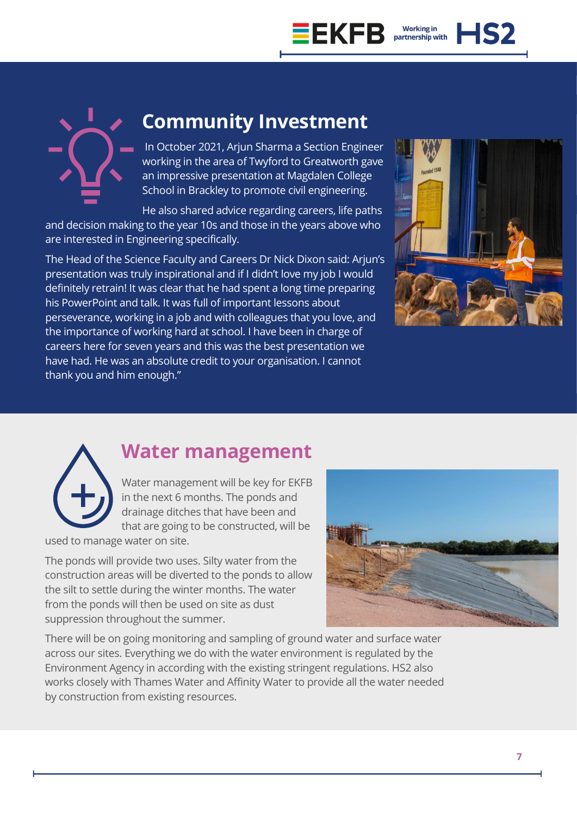

# **Community Investment**

In October 2021, Arjun Sharma a Section Engineer working in the area of Twyford to Greatworth gave an impressive presentation at Magdalen College School in Brackley to promote civil engineering.

He also shared advice regarding careers, life paths and decision making to the year 10s and those in the years above who are interested in Engineering specifically.

The Head of the Science Faculty and Careers Dr Nick Dixon said: Arjun's presentation was truly inspirational and if I didn't love my job I would definitely retrain! It was clear that he had spent a long time preparing his PowerPoint and talk. It was full of important lessons about perseverance, working in a job and with colleagues that you love, and the importance of working hard at school. I have been in charge of careers here for seven years and this was the best presentation we have had. He was an absolute credit to your organisation. I cannot thank you and him enough."





# **Water management**

Water management will be key for EKFB in the next 6 months. The ponds and drainage ditches that have been and that are going to be constructed, will be

used to manage water on site.

The ponds will provide two uses. Silty water from the construction areas will be diverted to the ponds to allow the silt to settle during the winter months. The water from the ponds will then be used on site as dust suppression throughout the summer.



There will be on going monitoring and sampling of ground water and surface water across our sites. Everything we do with the water environment is regulated by the Environment Agency in according with the existing stringent regulations. HS2 also works closely with Thames Water and Affinity Water to provide all the water needed by construction from existing resources.